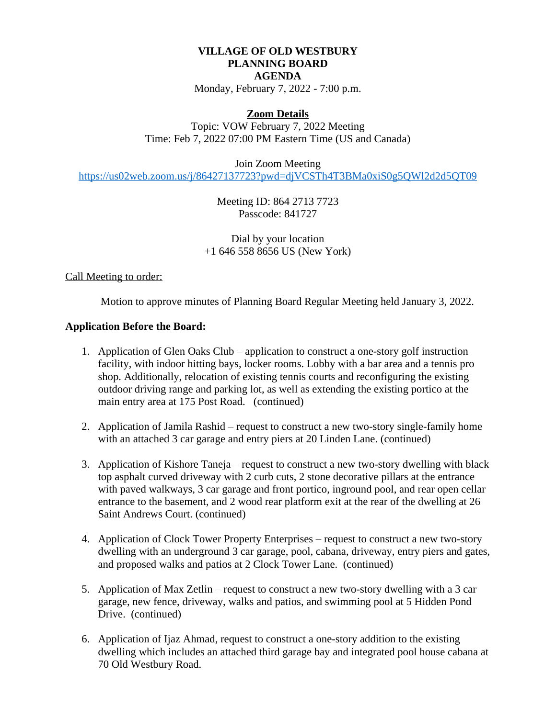## **VILLAGE OF OLD WESTBURY PLANNING BOARD AGENDA**

Monday, February 7, 2022 - 7:00 p.m.

### **Zoom Details**

Topic: VOW February 7, 2022 Meeting Time: Feb 7, 2022 07:00 PM Eastern Time (US and Canada)

Join Zoom Meeting

<https://us02web.zoom.us/j/86427137723?pwd=djVCSTh4T3BMa0xiS0g5QWl2d2d5QT09>

[Meeting ID: 864 2713 7723](https://us02web.zoom.us/j/86427137723?pwd=djVCSTh4T3BMa0xiS0g5QWl2d2d5QT09) [Passcode: 841727](https://us02web.zoom.us/j/86427137723?pwd=djVCSTh4T3BMa0xiS0g5QWl2d2d5QT09)

[Dial by your location](https://us02web.zoom.us/j/86427137723?pwd=djVCSTh4T3BMa0xiS0g5QWl2d2d5QT09) [+1 646 558 8656 US \(New York\)](https://us02web.zoom.us/j/86427137723?pwd=djVCSTh4T3BMa0xiS0g5QWl2d2d5QT09)

## [Call Meeting to order:](https://us02web.zoom.us/j/86427137723?pwd=djVCSTh4T3BMa0xiS0g5QWl2d2d5QT09)

 [Motion to approve minutes of Planning Board Regular Meeting held](https://us02web.zoom.us/j/86427137723?pwd=djVCSTh4T3BMa0xiS0g5QWl2d2d5QT09) [January 3, 2022.](https://us02web.zoom.us/j/86427137723?pwd=djVCSTh4T3BMa0xiS0g5QWl2d2d5QT09)

#### **[Application Before the Board:](https://us02web.zoom.us/j/86427137723?pwd=djVCSTh4T3BMa0xiS0g5QWl2d2d5QT09)**

- [1.](https://us02web.zoom.us/j/86427137723?pwd=djVCSTh4T3BMa0xiS0g5QWl2d2d5QT09) [Application of Glen Oaks Club](https://us02web.zoom.us/j/86427137723?pwd=djVCSTh4T3BMa0xiS0g5QWl2d2d5QT09) [–](https://us02web.zoom.us/j/86427137723?pwd=djVCSTh4T3BMa0xiS0g5QWl2d2d5QT09) [application to construct a one-story golf instruction](https://us02web.zoom.us/j/86427137723?pwd=djVCSTh4T3BMa0xiS0g5QWl2d2d5QT09)  [facility, with indoor hitting bays, locker rooms. Lobby with a bar area and a tennis pro](https://us02web.zoom.us/j/86427137723?pwd=djVCSTh4T3BMa0xiS0g5QWl2d2d5QT09)  [shop. Additionally, relocation of existing tennis courts and reconfiguring the existing](https://us02web.zoom.us/j/86427137723?pwd=djVCSTh4T3BMa0xiS0g5QWl2d2d5QT09)  [outdoor driving](https://us02web.zoom.us/j/86427137723?pwd=djVCSTh4T3BMa0xiS0g5QWl2d2d5QT09) [range and parking lot, as well as extending the existing portico at the](https://us02web.zoom.us/j/86427137723?pwd=djVCSTh4T3BMa0xiS0g5QWl2d2d5QT09)  [main entry area at 175 Post Road. \(continued\)](https://us02web.zoom.us/j/86427137723?pwd=djVCSTh4T3BMa0xiS0g5QWl2d2d5QT09)
- [2.](https://us02web.zoom.us/j/86427137723?pwd=djVCSTh4T3BMa0xiS0g5QWl2d2d5QT09) [Application of Jamila Rashid](https://us02web.zoom.us/j/86427137723?pwd=djVCSTh4T3BMa0xiS0g5QWl2d2d5QT09) [–](https://us02web.zoom.us/j/86427137723?pwd=djVCSTh4T3BMa0xiS0g5QWl2d2d5QT09) [request to construct a new two-story single-family home](https://us02web.zoom.us/j/86427137723?pwd=djVCSTh4T3BMa0xiS0g5QWl2d2d5QT09)  [with an attached 3 car garage and entry piers at 20 Linden Lane. \(continued\)](https://us02web.zoom.us/j/86427137723?pwd=djVCSTh4T3BMa0xiS0g5QWl2d2d5QT09)
- [3.](https://us02web.zoom.us/j/86427137723?pwd=djVCSTh4T3BMa0xiS0g5QWl2d2d5QT09) [Application of Kishore Taneja](https://us02web.zoom.us/j/86427137723?pwd=djVCSTh4T3BMa0xiS0g5QWl2d2d5QT09) [–](https://us02web.zoom.us/j/86427137723?pwd=djVCSTh4T3BMa0xiS0g5QWl2d2d5QT09) [request to construct a new two-story dwelling with black](https://us02web.zoom.us/j/86427137723?pwd=djVCSTh4T3BMa0xiS0g5QWl2d2d5QT09) [top asphalt curved driveway with 2 curb cuts, 2 stone decorative pillars at the entrance](https://us02web.zoom.us/j/86427137723?pwd=djVCSTh4T3BMa0xiS0g5QWl2d2d5QT09)  with paved walkways, 3 car garage and front portico, inground pool, and rear open cellar [entrance to the basement, and 2 wood rear platform exit at the rear of the dwelling at 26](https://us02web.zoom.us/j/86427137723?pwd=djVCSTh4T3BMa0xiS0g5QWl2d2d5QT09)  [Saint Andrews Court. \(continued\)](https://us02web.zoom.us/j/86427137723?pwd=djVCSTh4T3BMa0xiS0g5QWl2d2d5QT09)
- [4.](https://us02web.zoom.us/j/86427137723?pwd=djVCSTh4T3BMa0xiS0g5QWl2d2d5QT09) [Application of Clock Tower Property Enterprises](https://us02web.zoom.us/j/86427137723?pwd=djVCSTh4T3BMa0xiS0g5QWl2d2d5QT09) [–](https://us02web.zoom.us/j/86427137723?pwd=djVCSTh4T3BMa0xiS0g5QWl2d2d5QT09) [request to construct a new two-story](https://us02web.zoom.us/j/86427137723?pwd=djVCSTh4T3BMa0xiS0g5QWl2d2d5QT09)  [dwelling with an underground 3 car garage, pool, cabana, driveway, entry piers and gates,](https://us02web.zoom.us/j/86427137723?pwd=djVCSTh4T3BMa0xiS0g5QWl2d2d5QT09) [and proposed walks and patios at 2 Clock Tower Lane.](https://us02web.zoom.us/j/86427137723?pwd=djVCSTh4T3BMa0xiS0g5QWl2d2d5QT09) [\(continued\)](https://us02web.zoom.us/j/86427137723?pwd=djVCSTh4T3BMa0xiS0g5QWl2d2d5QT09)
- [5.](https://us02web.zoom.us/j/86427137723?pwd=djVCSTh4T3BMa0xiS0g5QWl2d2d5QT09) [Application of Max Zetlin](https://us02web.zoom.us/j/86427137723?pwd=djVCSTh4T3BMa0xiS0g5QWl2d2d5QT09) [–](https://us02web.zoom.us/j/86427137723?pwd=djVCSTh4T3BMa0xiS0g5QWl2d2d5QT09) [request to construct a new two-story dwelling with a 3 car](https://us02web.zoom.us/j/86427137723?pwd=djVCSTh4T3BMa0xiS0g5QWl2d2d5QT09)  [garage, new fence, driveway, walks and patios, and swimming pool at 5 Hidden Pond](https://us02web.zoom.us/j/86427137723?pwd=djVCSTh4T3BMa0xiS0g5QWl2d2d5QT09)  [Drive. \(continued\)](https://us02web.zoom.us/j/86427137723?pwd=djVCSTh4T3BMa0xiS0g5QWl2d2d5QT09)
- [6. Application of Ijaz Ahmad, request to construct a one-story addition to the existing](https://us02web.zoom.us/j/86427137723?pwd=djVCSTh4T3BMa0xiS0g5QWl2d2d5QT09)  [dwelling which includes an attached third garage bay and integrated pool house cabana at](https://us02web.zoom.us/j/86427137723?pwd=djVCSTh4T3BMa0xiS0g5QWl2d2d5QT09) [70 Old Westbury Road.](https://us02web.zoom.us/j/86427137723?pwd=djVCSTh4T3BMa0xiS0g5QWl2d2d5QT09)